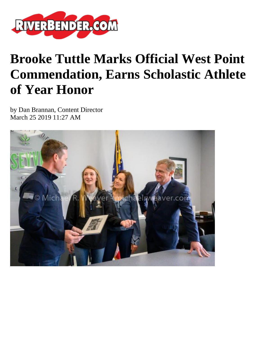

## **Brooke Tuttle Marks Official West Point Commendation, Earns Scholastic Athlete of Year Honor**

by Dan Brannan, Content Director March 25 2019 11:27 AM

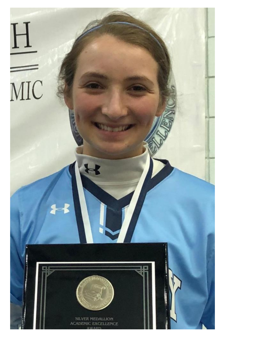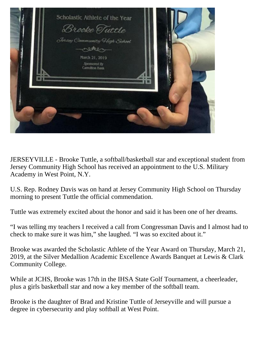

JERSEYVILLE - Brooke Tuttle, a softball/basketball star and exceptional student from Jersey Community High School has received an appointment to the U.S. Military Academy in West Point, N.Y.

U.S. Rep. Rodney Davis was on hand at Jersey Community High School on Thursday morning to present Tuttle the official commendation.

Tuttle was extremely excited about the honor and said it has been one of her dreams.

"I was telling my teachers I received a call from Congressman Davis and I almost had to check to make sure it was him," she laughed. "I was so excited about it."

Brooke was awarded the Scholastic Athlete of the Year Award on Thursday, March 21, 2019, at the Silver Medallion Academic Excellence Awards Banquet at Lewis & Clark Community College.

While at JCHS, Brooke was 17th in the IHSA State Golf Tournament, a cheerleader, plus a girls basketball star and now a key member of the softball team.

Brooke is the daughter of Brad and Kristine Tuttle of Jerseyville and will pursue a degree in cybersecurity and play softball at West Point.